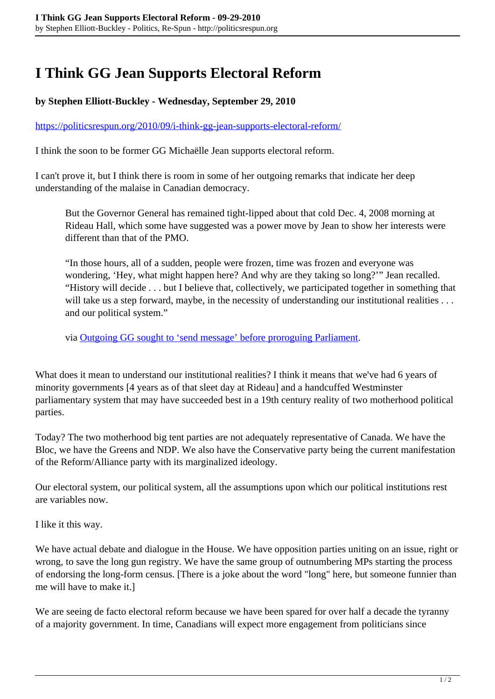## **I Think GG Jean Supports Electoral Reform**

## **by Stephen Elliott-Buckley - Wednesday, September 29, 2010**

## <https://politicsrespun.org/2010/09/i-think-gg-jean-supports-electoral-reform/>

I think the soon to be former GG Michaëlle Jean supports electoral reform.

I can't prove it, but I think there is room in some of her outgoing remarks that indicate her deep understanding of the malaise in Canadian democracy.

But the Governor General has remained tight-lipped about that cold Dec. 4, 2008 morning at Rideau Hall, which some have suggested was a power move by Jean to show her interests were different than that of the PMO.

"In those hours, all of a sudden, people were frozen, time was frozen and everyone was wondering, 'Hey, what might happen here? And why are they taking so long?'" Jean recalled. "History will decide . . . but I believe that, collectively, we participated together in something that will take us a step forward, maybe, in the necessity of understanding our institutional realities . . . and our political system."

via [Outgoing GG sought to 'send message' before proroguing Parliament.](http://www.vancouversun.com/news/Outgoing+sought+send+message+before+proroguing+Parliament/3593489/story.html)

What does it mean to understand our institutional realities? I think it means that we've had 6 years of minority governments [4 years as of that sleet day at Rideau] and a handcuffed Westminster parliamentary system that may have succeeded best in a 19th century reality of two motherhood political parties.

Today? The two motherhood big tent parties are not adequately representative of Canada. We have the Bloc, we have the Greens and NDP. We also have the Conservative party being the current manifestation of the Reform/Alliance party with its marginalized ideology.

Our electoral system, our political system, all the assumptions upon which our political institutions rest are variables now.

I like it this way.

We have actual debate and dialogue in the House. We have opposition parties uniting on an issue, right or wrong, to save the long gun registry. We have the same group of outnumbering MPs starting the process of endorsing the long-form census. [There is a joke about the word "long" here, but someone funnier than me will have to make it.]

We are seeing de facto electoral reform because we have been spared for over half a decade the tyranny of a majority government. In time, Canadians will expect more engagement from politicians since